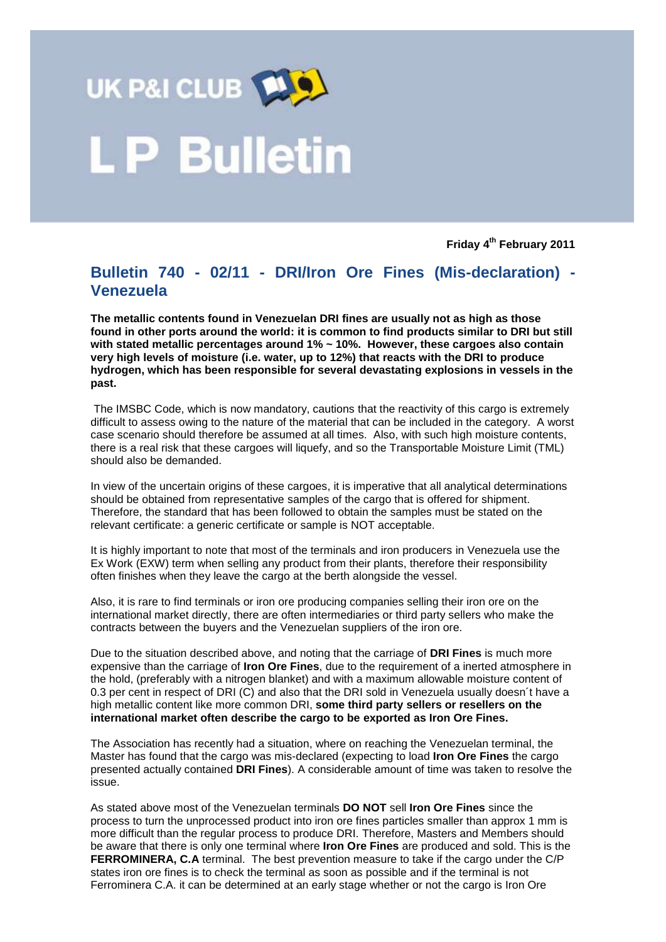

## . P Bulletin

**Friday 4 th February 2011**

## **Bulletin 740 - 02/11 - DRI/Iron Ore Fines (Mis-declaration) - Venezuela**

**The metallic contents found in Venezuelan DRI fines are usually not as high as those found in other ports around the world: it is common to find products similar to DRI but still with stated metallic percentages around 1% ~ 10%. However, these cargoes also contain very high levels of moisture (i.e. water, up to 12%) that reacts with the DRI to produce hydrogen, which has been responsible for several devastating explosions in vessels in the past.** 

The IMSBC Code, which is now mandatory, cautions that the reactivity of this cargo is extremely difficult to assess owing to the nature of the material that can be included in the category. A worst case scenario should therefore be assumed at all times. Also, with such high moisture contents, there is a real risk that these cargoes will liquefy, and so the Transportable Moisture Limit (TML) should also be demanded.

In view of the uncertain origins of these cargoes, it is imperative that all analytical determinations should be obtained from representative samples of the cargo that is offered for shipment. Therefore, the standard that has been followed to obtain the samples must be stated on the relevant certificate: a generic certificate or sample is NOT acceptable.

It is highly important to note that most of the terminals and iron producers in Venezuela use the Ex Work (EXW) term when selling any product from their plants, therefore their responsibility often finishes when they leave the cargo at the berth alongside the vessel.

Also, it is rare to find terminals or iron ore producing companies selling their iron ore on the international market directly, there are often intermediaries or third party sellers who make the contracts between the buyers and the Venezuelan suppliers of the iron ore.

Due to the situation described above, and noting that the carriage of **DRI Fines** is much more expensive than the carriage of **Iron Ore Fines**, due to the requirement of a inerted atmosphere in the hold, (preferably with a nitrogen blanket) and with a maximum allowable moisture content of 0.3 per cent in respect of DRI (C) and also that the DRI sold in Venezuela usually doesn´t have a high metallic content like more common DRI, **some third party sellers or resellers on the international market often describe the cargo to be exported as Iron Ore Fines.** 

The Association has recently had a situation, where on reaching the Venezuelan terminal, the Master has found that the cargo was mis-declared (expecting to load **Iron Ore Fines** the cargo presented actually contained **DRI Fines**). A considerable amount of time was taken to resolve the issue.

As stated above most of the Venezuelan terminals **DO NOT** sell **Iron Ore Fines** since the process to turn the unprocessed product into iron ore fines particles smaller than approx 1 mm is more difficult than the regular process to produce DRI. Therefore, Masters and Members should be aware that there is only one terminal where **Iron Ore Fines** are produced and sold. This is the **FERROMINERA, C.A** terminal. The best prevention measure to take if the cargo under the C/P states iron ore fines is to check the terminal as soon as possible and if the terminal is not Ferrominera C.A. it can be determined at an early stage whether or not the cargo is Iron Ore